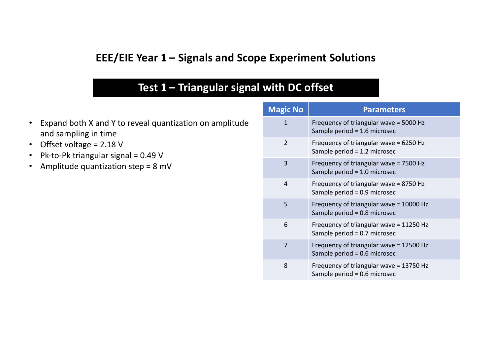#### **EEE/EIE Year 1 – Signals and Scope Experiment Solutions**

### Test 1 - Triangular signal with DC offset

- Expand both X and Y to reveal quantization on amplitude and sampling in time
- Offset voltage =  $2.18$  V
- Pk-to-Pk triangular signal =  $0.49$  V
- Amplitude quantization step =  $8$  mV

| <b>Magic No</b> | <b>Parameters</b>                                                         |
|-----------------|---------------------------------------------------------------------------|
| $\mathbf{1}$    | Frequency of triangular wave = 5000 Hz<br>Sample period = 1.6 microsec    |
| $\mathcal{P}$   | Frequency of triangular wave = 6250 Hz<br>Sample period = 1.2 microsec    |
| 3               | Frequency of triangular wave = 7500 Hz<br>Sample period = 1.0 microsec    |
| 4               | Frequency of triangular wave = 8750 Hz<br>Sample period = $0.9$ microsec  |
| 5               | Frequency of triangular wave = 10000 Hz<br>Sample period = 0.8 microsec   |
| 6               | Frequency of triangular wave = 11250 Hz<br>Sample period = 0.7 microsec   |
| 7               | Frequency of triangular wave = 12500 Hz<br>Sample period = 0.6 microsec   |
| 8               | Frequency of triangular wave = 13750 Hz<br>Sample period = $0.6$ microsec |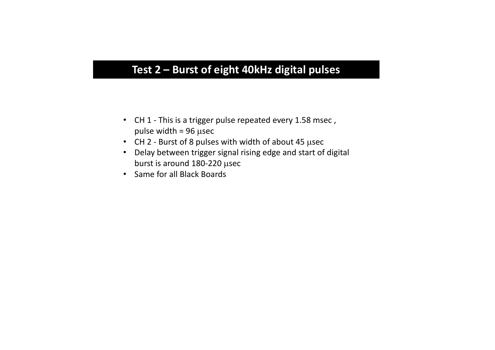## Test 2 – Burst of eight 40kHz digital pulses

- CH 1 This is a trigger pulse repeated every 1.58 msec, pulse width =  $96$   $\mu$ sec
- CH 2 Burst of 8 pulses with width of about 45 usec
- Delay between trigger signal rising edge and start of digital burst is around  $180-220$   $\mu$ sec
- Same for all Black Boards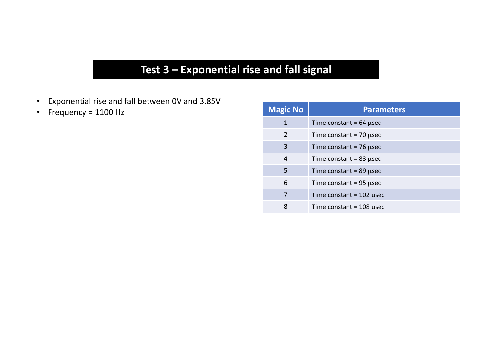# Test 3 - Exponential rise and fall signal

- Exponential rise and fall between OV and 3.85V
- Frequency = Hz

| <b>Magic No</b> | <b>Parameters</b>            |
|-----------------|------------------------------|
| $\mathbf{1}$    | Time constant = $64$ µsec    |
| 2               | Time constant = $70 \mu$ sec |
| 3               | Time constant = $76$ µsec    |
| $\overline{4}$  | Time constant = $83$ µsec    |
| 5               | Time constant = $89$ µsec    |
| 6               | Time constant = $95$ µsec    |
| 7               | Time constant = $102$ µsec   |
| 8               | Time constant = $108$ µsec   |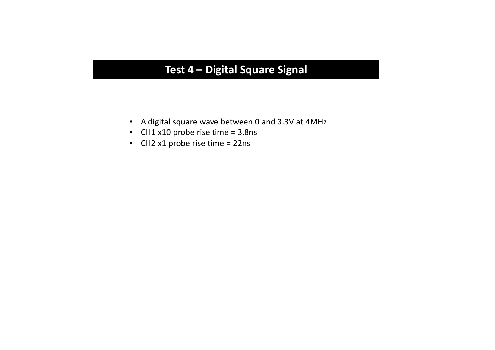## **Test 4 – Digital Square Signal**

- A digital square wave between 0 and 3.3V at 4MHz
- CH1  $x10$  probe rise time = 3.8ns
- CH2  $x1$  probe rise time = 22ns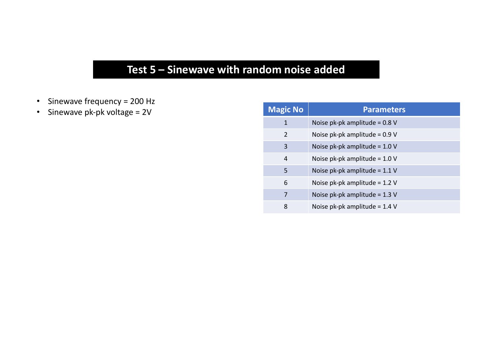# Test 5 - Sinewave with random noise added

- Sinewave frequency = Hz
- Sinewave  $pk-pk$  voltage =  $2V$

| <b>Magic No</b> | <b>Parameters</b>               |
|-----------------|---------------------------------|
| $\mathbf 1$     | Noise pk-pk amplitude = 0.8 V   |
| $\mathfrak{D}$  | Noise pk-pk amplitude = $0.9$ V |
| 3               | Noise pk-pk amplitude = $1.0 V$ |
| $\overline{4}$  | Noise pk-pk amplitude = $1.0 V$ |
| 5               | Noise pk-pk amplitude = 1.1 V   |
| 6               | Noise pk-pk amplitude = $1.2$ V |
| 7               | Noise pk-pk amplitude = $1.3$ V |
| 8               | Noise pk-pk amplitude = $1.4$ V |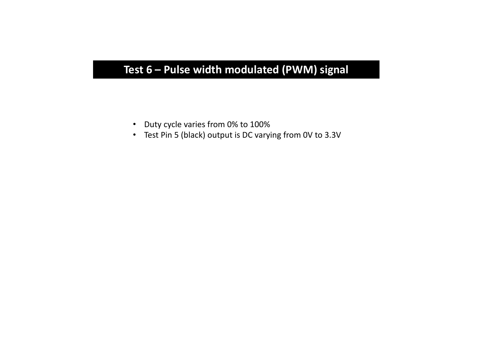# Test 6 - Pulse width modulated (PWM) signal

- Duty cycle varies from 0% to 100%
- Test Pin 5 (black) output is DC varying from 0V to 3.3V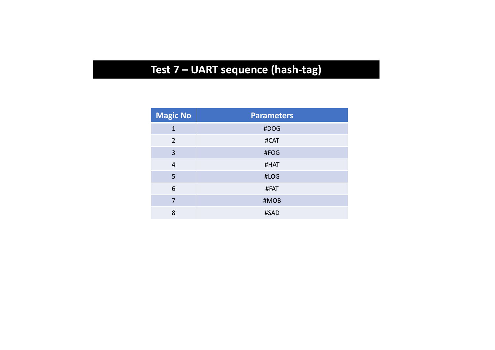# Test 7 - UART sequence (hash-tag)

| <b>Magic No</b> | <b>Parameters</b> |
|-----------------|-------------------|
| $\mathbf{1}$    | #DOG              |
| $\overline{2}$  | #CAT              |
| 3               | #FOG              |
| $\overline{4}$  | #HAT              |
| 5               | #LOG              |
| 6               | #FAT              |
| 7               | #MOB              |
| 8               | #SAD              |